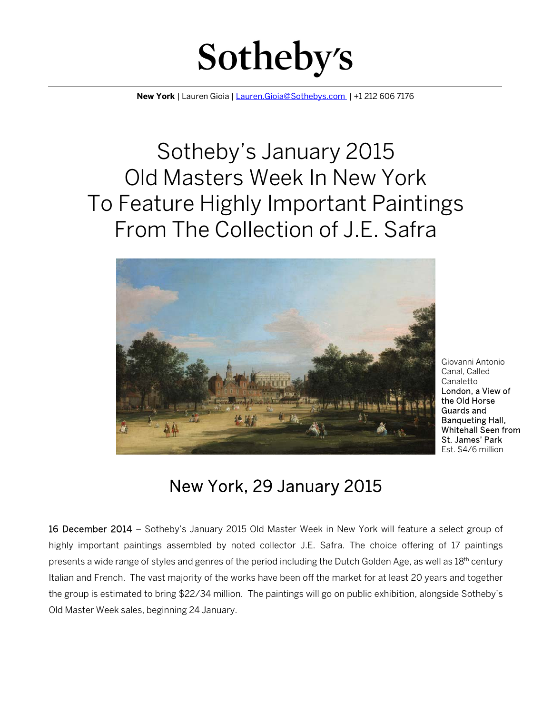

**New York** | Lauren Gioia | Lauren.Gioia@Sothebys.com | +1 212 606 7176

 $\overline{a}$ 

## Sotheby's January 2015 Old Masters Week In New York To Feature Highly Important Paintings From The Collection of J.E. Safra



Giovanni Antonio Canal, Called Canaletto London, a View of the Old Horse Guards and Banqueting Hall, Whitehall Seen from St. James' Park Est. \$4/6 million

## New York, 29 January 2015

16 December 2014 – Sotheby's January 2015 Old Master Week in New York will feature a select group of highly important paintings assembled by noted collector J.E. Safra. The choice offering of 17 paintings presents a wide range of styles and genres of the period including the Dutch Golden Age, as well as 18th century Italian and French. The vast majority of the works have been off the market for at least 20 years and together the group is estimated to bring \$22/34 million. The paintings will go on public exhibition, alongside Sotheby's Old Master Week sales, beginning 24 January.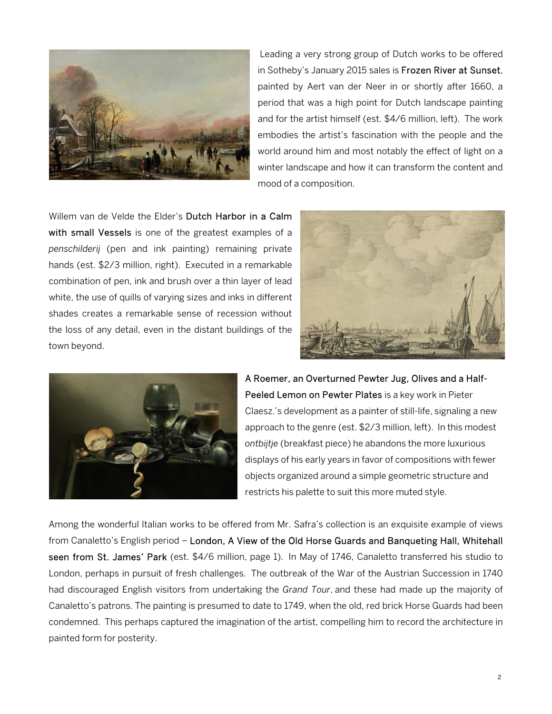

 Leading a very strong group of Dutch works to be offered in Sotheby's January 2015 sales is Frozen River at Sunset, painted by Aert van der Neer in or shortly after 1660, a period that was a high point for Dutch landscape painting and for the artist himself (est. \$4/6 million, left). The work embodies the artist's fascination with the people and the world around him and most notably the effect of light on a winter landscape and how it can transform the content and mood of a composition.

Willem van de Velde the Elder's Dutch Harbor in a Calm with small Vessels is one of the greatest examples of a *penschilderij* (pen and ink painting) remaining private hands (est. \$2/3 million, right). Executed in a remarkable combination of pen, ink and brush over a thin layer of lead white, the use of quills of varying sizes and inks in different shades creates a remarkable sense of recession without the loss of any detail, even in the distant buildings of the town beyond.





A Roemer, an Overturned Pewter Jug, Olives and a Half-Peeled Lemon on Pewter Plates is a key work in Pieter Claesz.'s development as a painter of still-life, signaling a new approach to the genre (est. \$2/3 million, left). In this modest *ontbijtje* (breakfast piece) he abandons the more luxurious displays of his early years in favor of compositions with fewer objects organized around a simple geometric structure and restricts his palette to suit this more muted style.

Among the wonderful Italian works to be offered from Mr. Safra's collection is an exquisite example of views from Canaletto's English period – London, A View of the Old Horse Guards and Banqueting Hall, Whitehall seen from St. James' Park (est. \$4/6 million, page 1). In May of 1746, Canaletto transferred his studio to London, perhaps in pursuit of fresh challenges. The outbreak of the War of the Austrian Succession in 1740 had discouraged English visitors from undertaking the *Grand Tour*, and these had made up the majority of Canaletto's patrons. The painting is presumed to date to 1749, when the old, red brick Horse Guards had been condemned. This perhaps captured the imagination of the artist, compelling him to record the architecture in painted form for posterity.